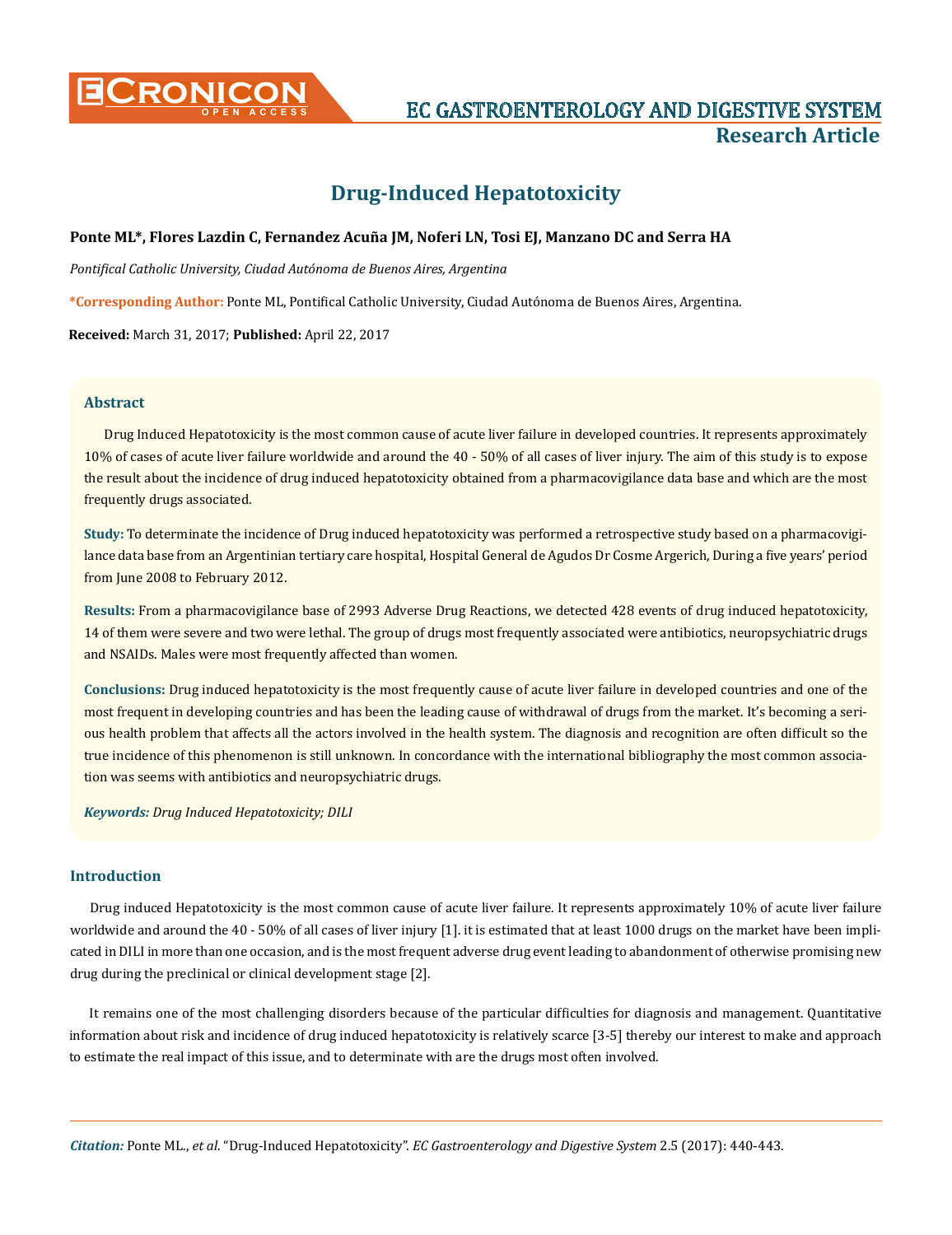

# **CRONICON EC GASTROENTEROLOGY AND DIGESTIVE SYSTEM Research Article**

# **Drug-Induced Hepatotoxicity**

# **Ponte ML\*, Flores Lazdin C, Fernandez Acuña JM, Noferi LN, Tosi EJ, Manzano DC and Serra HA**

*Pontifical Catholic University, Ciudad Autónoma de Buenos Aires, Argentina*

**\*Corresponding Author:** Ponte ML, Pontifical Catholic University, Ciudad Autónoma de Buenos Aires, Argentina.

**Received:** March 31, 2017; **Published:** April 22, 2017

#### **Abstract**

Drug Induced Hepatotoxicity is the most common cause of acute liver failure in developed countries. It represents approximately 10% of cases of acute liver failure worldwide and around the 40 - 50% of all cases of liver injury. The aim of this study is to expose the result about the incidence of drug induced hepatotoxicity obtained from a pharmacovigilance data base and which are the most frequently drugs associated.

**Study:** To determinate the incidence of Drug induced hepatotoxicity was performed a retrospective study based on a pharmacovigilance data base from an Argentinian tertiary care hospital, Hospital General de Agudos Dr Cosme Argerich, During a five years' period from June 2008 to February 2012.

**Results:** From a pharmacovigilance base of 2993 Adverse Drug Reactions, we detected 428 events of drug induced hepatotoxicity, 14 of them were severe and two were lethal. The group of drugs most frequently associated were antibiotics, neuropsychiatric drugs and NSAIDs. Males were most frequently affected than women.

**Conclusions:** Drug induced hepatotoxicity is the most frequently cause of acute liver failure in developed countries and one of the most frequent in developing countries and has been the leading cause of withdrawal of drugs from the market. It's becoming a serious health problem that affects all the actors involved in the health system. The diagnosis and recognition are often difficult so the true incidence of this phenomenon is still unknown. In concordance with the international bibliography the most common association was seems with antibiotics and neuropsychiatric drugs.

#### *Keywords: Drug Induced Hepatotoxicity; DILI*

### **Introduction**

Drug induced Hepatotoxicity is the most common cause of acute liver failure. It represents approximately 10% of acute liver failure worldwide and around the 40 - 50% of all cases of liver injury [1]. it is estimated that at least 1000 drugs on the market have been implicated in DILI in more than one occasion, and is the most frequent adverse drug event leading to abandonment of otherwise promising new drug during the preclinical or clinical development stage [2].

It remains one of the most challenging disorders because of the particular difficulties for diagnosis and management. Quantitative information about risk and incidence of drug induced hepatotoxicity is relatively scarce [3-5] thereby our interest to make and approach to estimate the real impact of this issue, and to determinate with are the drugs most often involved.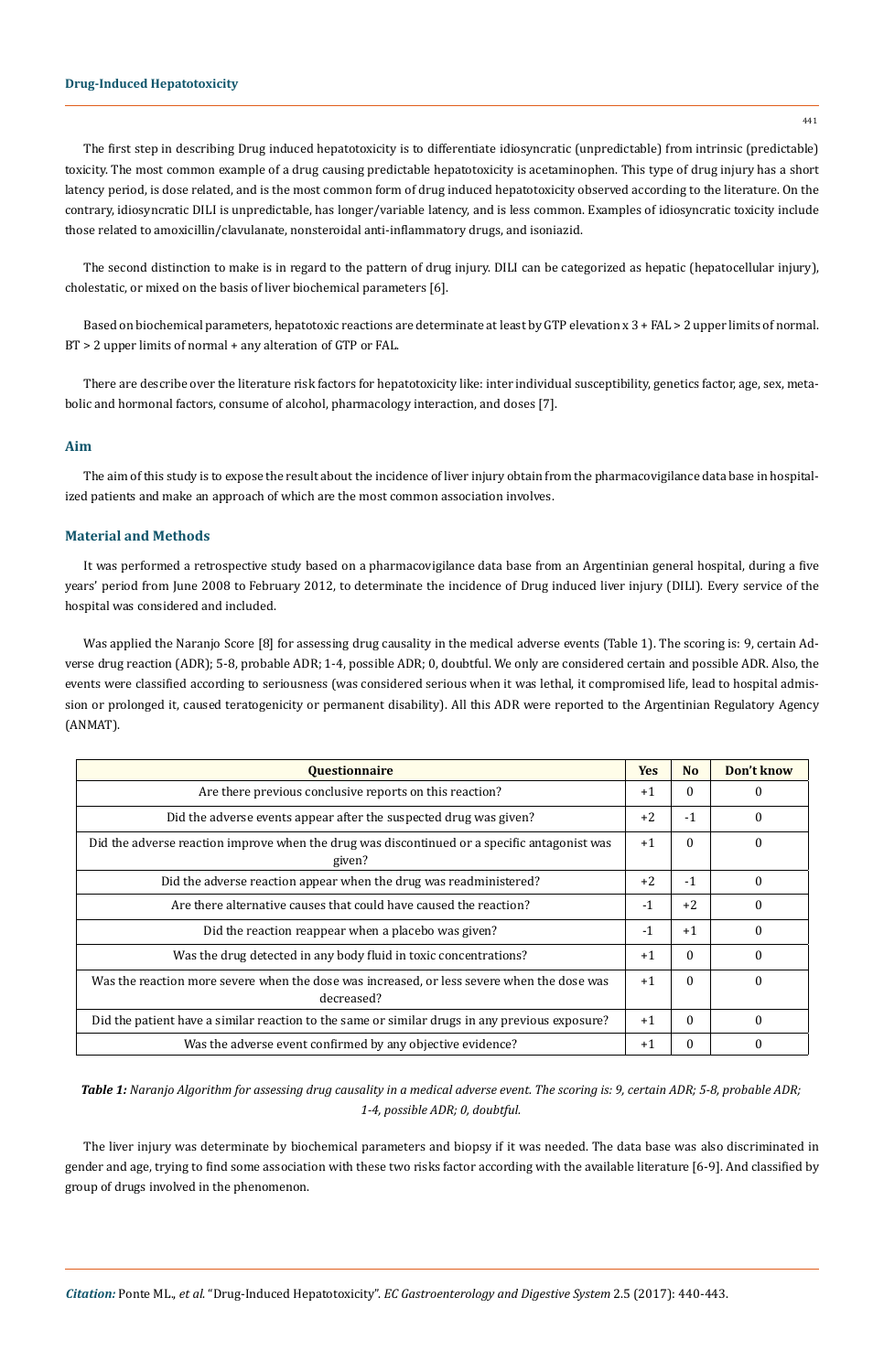### **Drug-Induced Hepatotoxicity**

The first step in describing Drug induced hepatotoxicity is to differentiate idiosyncratic (unpredictable) from intrinsic (predictable) toxicity. The most common example of a drug causing predictable hepatotoxicity is acetaminophen. This type of drug injury has a short latency period, is dose related, and is the most common form of drug induced hepatotoxicity observed according to the literature. On the contrary, idiosyncratic DILI is unpredictable, has longer/variable latency, and is less common. Examples of idiosyncratic toxicity include those related to amoxicillin/clavulanate, nonsteroidal anti-inflammatory drugs, and isoniazid.

The second distinction to make is in regard to the pattern of drug injury. DILI can be categorized as hepatic (hepatocellular injury), cholestatic, or mixed on the basis of liver biochemical parameters [6].

Based on biochemical parameters, hepatotoxic reactions are determinate at least by GTP elevation x 3 + FAL > 2 upper limits of normal. BT > 2 upper limits of normal + any alteration of GTP or FAL.

There are describe over the literature risk factors for hepatotoxicity like: inter individual susceptibility, genetics factor, age, sex, metabolic and hormonal factors, consume of alcohol, pharmacology interaction, and doses [7].

#### **Aim**

The aim of this study is to expose the result about the incidence of liver injury obtain from the pharmacovigilance data base in hospitalized patients and make an approach of which are the most common association involves.

# **Material and Methods**

It was performed a retrospective study based on a pharmacovigilance data base from an Argentinian general hospital, during a five years' period from June 2008 to February 2012, to determinate the incidence of Drug induced liver injury (DILI). Every service of the hospital was considered and included.

Was applied the Naranjo Score [8] for assessing drug causality in the medical adverse events (Table 1). The scoring is: 9, certain Adverse drug reaction (ADR); 5-8, probable ADR; 1-4, possible ADR; 0, doubtful. We only are considered certain and possible ADR. Also, the events were classified according to seriousness (was considered serious when it was lethal, it compromised life, lead to hospital admission or prolonged it, caused teratogenicity or permanent disability). All this ADR were reported to the Argentinian Regulatory Agency (ANMAT).

| <b>Questionnaire</b>                                                                                     | <b>Yes</b> | N <sub>0</sub> | Don't know |
|----------------------------------------------------------------------------------------------------------|------------|----------------|------------|
| Are there previous conclusive reports on this reaction?                                                  | $+1$       | $\Omega$       | $\Omega$   |
| Did the adverse events appear after the suspected drug was given?                                        | $+2$       | $-1$           | $\Omega$   |
| Did the adverse reaction improve when the drug was discontinued or a specific antagonist was<br>given?   |            | $\Omega$       | $\Omega$   |
| Did the adverse reaction appear when the drug was readministered?                                        | $+2$       | $-1$           | $\Omega$   |
| Are there alternative causes that could have caused the reaction?                                        | $-1$       | $+2$           | $\Omega$   |
| Did the reaction reappear when a placebo was given?                                                      | $-1$       | $+1$           | $\Omega$   |
| Was the drug detected in any body fluid in toxic concentrations?                                         | $+1$       | $\Omega$       | $\Omega$   |
| Was the reaction more severe when the dose was increased, or less severe when the dose was<br>decreased? | $+1$       | $\Omega$       | $\Omega$   |
| Did the patient have a similar reaction to the same or similar drugs in any previous exposure?           | $+1$       | $\Omega$       | $\Omega$   |
| Was the adverse event confirmed by any objective evidence?                                               | $+1$       | $\Omega$       | 0          |

*Table 1: Naranjo Algorithm for assessing drug causality in a medical adverse event. The scoring is: 9, certain ADR; 5-8, probable ADR; 1-4, possible ADR; 0, doubtful.*

The liver injury was determinate by biochemical parameters and biopsy if it was needed. The data base was also discriminated in gender and age, trying to find some association with these two risks factor according with the available literature [6-9]. And classified by group of drugs involved in the phenomenon.

441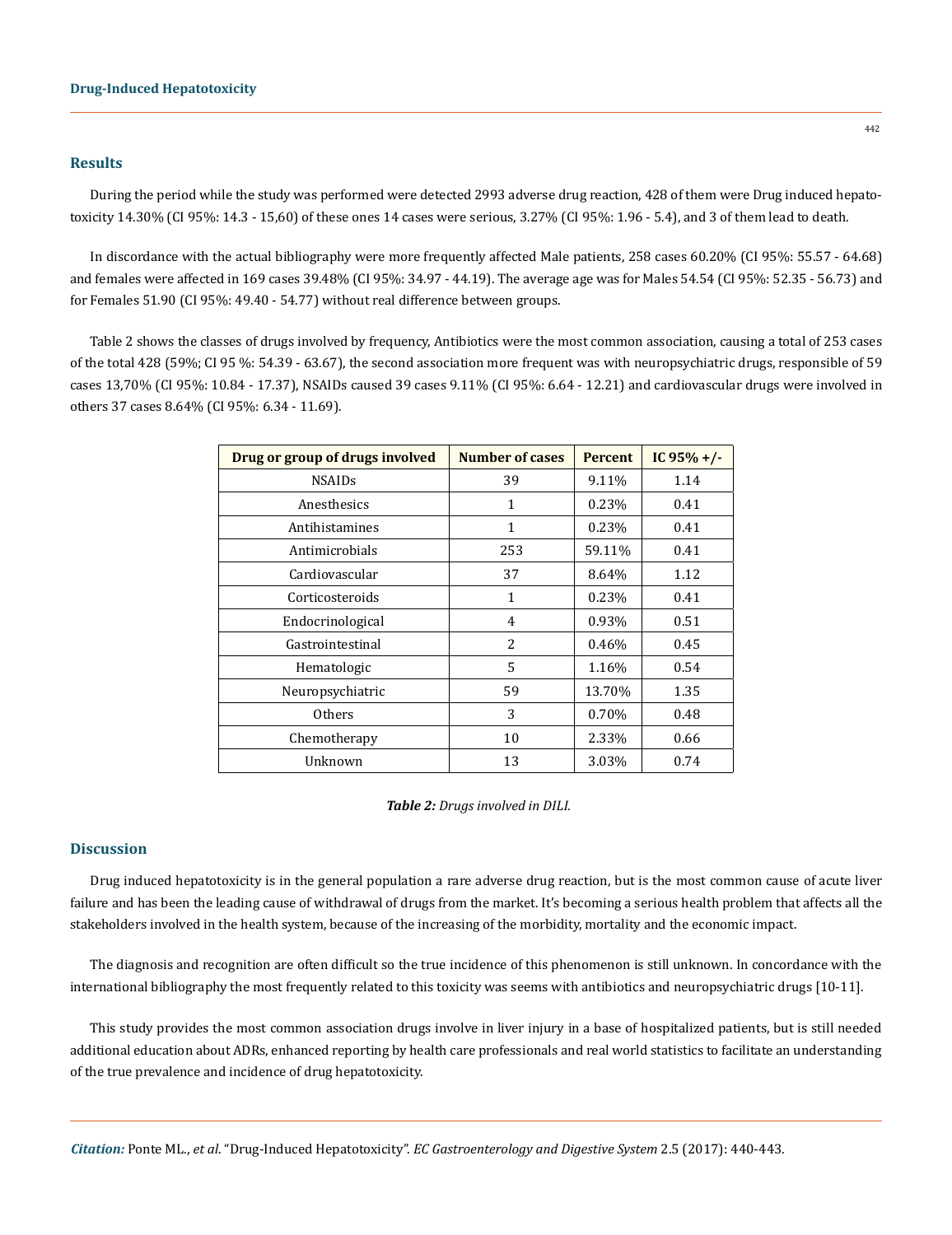#### **Results**

During the period while the study was performed were detected 2993 adverse drug reaction, 428 of them were Drug induced hepatotoxicity 14.30% (CI 95%: 14.3 - 15,60) of these ones 14 cases were serious, 3.27% (CI 95%: 1.96 - 5.4), and 3 of them lead to death.

In discordance with the actual bibliography were more frequently affected Male patients, 258 cases 60.20% (CI 95%: 55.57 - 64.68) and females were affected in 169 cases 39.48% (CI 95%: 34.97 - 44.19). The average age was for Males 54.54 (CI 95%: 52.35 - 56.73) and for Females 51.90 (CI 95%: 49.40 - 54.77) without real difference between groups.

Table 2 shows the classes of drugs involved by frequency, Antibiotics were the most common association, causing a total of 253 cases of the total 428 (59%; CI 95 %: 54.39 - 63.67), the second association more frequent was with neuropsychiatric drugs, responsible of 59 cases 13,70% (CI 95%: 10.84 - 17.37), NSAIDs caused 39 cases 9.11% (CI 95%: 6.64 - 12.21) and cardiovascular drugs were involved in others 37 cases 8.64% (CI 95%: 6.34 - 11.69).

| Drug or group of drugs involved | <b>Number of cases</b> | <b>Percent</b> | IC $95\% +/-$ |
|---------------------------------|------------------------|----------------|---------------|
| <b>NSAIDs</b>                   | 39                     | 9.11%          | 1.14          |
| Anesthesics                     | 1                      | 0.23%          | 0.41          |
| Antihistamines                  | $\mathbf{1}$           | 0.23%          | 0.41          |
| Antimicrobials                  | 253                    | 59.11%         | 0.41          |
| Cardiovascular                  | 37                     | 8.64%          | 1.12          |
| Corticosteroids                 | $\mathbf{1}$           | 0.23%          | 0.41          |
| Endocrinological                | 4                      | 0.93%          | 0.51          |
| Gastrointestinal                | 2                      | 0.46%          | 0.45          |
| Hematologic                     | 5                      | 1.16%          | 0.54          |
| Neuropsychiatric                | 59                     | 13.70%         | 1.35          |
| <b>Others</b>                   | 3                      | 0.70%          | 0.48          |
| Chemotherapy                    | 10                     | 2.33%          | 0.66          |
| Unknown                         | 13                     | 3.03%          | 0.74          |

*Table 2: Drugs involved in DILI.*

#### **Discussion**

Drug induced hepatotoxicity is in the general population a rare adverse drug reaction, but is the most common cause of acute liver failure and has been the leading cause of withdrawal of drugs from the market. It's becoming a serious health problem that affects all the stakeholders involved in the health system, because of the increasing of the morbidity, mortality and the economic impact.

The diagnosis and recognition are often difficult so the true incidence of this phenomenon is still unknown. In concordance with the international bibliography the most frequently related to this toxicity was seems with antibiotics and neuropsychiatric drugs [10-11].

This study provides the most common association drugs involve in liver injury in a base of hospitalized patients, but is still needed additional education about ADRs, enhanced reporting by health care professionals and real world statistics to facilitate an understanding of the true prevalence and incidence of drug hepatotoxicity.